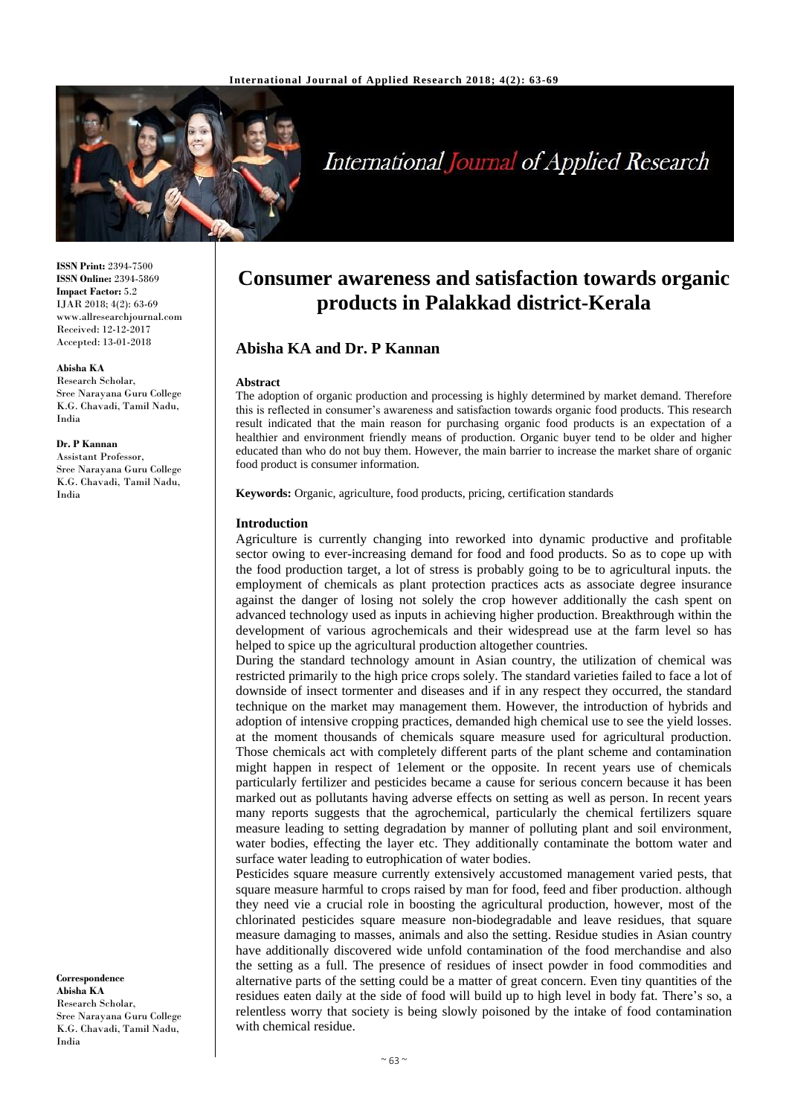

# **International Journal of Applied Research**

**ISSN Print:** 2394-7500 **ISSN Online:** 2394-5869 **Impact Factor:** 5.2 IJAR 2018; 4(2): 63-69 www.allresearchjournal.com Received: 12-12-2017 Accepted: 13-01-2018

#### **Abisha KA**

Research Scholar, Sree Narayana Guru College K.G. Chavadi, Tamil Nadu, India

## **Dr. P Kannan**

Assistant Professor, Sree Narayana Guru College K.G. Chavadi, Tamil Nadu, India

**Correspondence Abisha KA** Research Scholar, Sree Narayana Guru College K.G. Chavadi, Tamil Nadu, India

## **Consumer awareness and satisfaction towards organic products in Palakkad district-Kerala**

## **Abisha KA and Dr. P Kannan**

#### **Abstract**

The adoption of organic production and processing is highly determined by market demand. Therefore this is reflected in consumer's awareness and satisfaction towards organic food products. This research result indicated that the main reason for purchasing organic food products is an expectation of a healthier and environment friendly means of production. Organic buyer tend to be older and higher educated than who do not buy them. However, the main barrier to increase the market share of organic food product is consumer information.

**Keywords:** Organic, agriculture, food products, pricing, certification standards

#### **Introduction**

Agriculture is currently changing into reworked into dynamic productive and profitable sector owing to ever-increasing demand for food and food products. So as to cope up with the food production target, a lot of stress is probably going to be to agricultural inputs. the employment of chemicals as plant protection practices acts as associate degree insurance against the danger of losing not solely the crop however additionally the cash spent on advanced technology used as inputs in achieving higher production. Breakthrough within the development of various agrochemicals and their widespread use at the farm level so has helped to spice up the agricultural production altogether countries.

During the standard technology amount in Asian country, the utilization of chemical was restricted primarily to the high price crops solely. The standard varieties failed to face a lot of downside of insect tormenter and diseases and if in any respect they occurred, the standard technique on the market may management them. However, the introduction of hybrids and adoption of intensive cropping practices, demanded high chemical use to see the yield losses. at the moment thousands of chemicals square measure used for agricultural production. Those chemicals act with completely different parts of the plant scheme and contamination might happen in respect of 1element or the opposite. In recent years use of chemicals particularly fertilizer and pesticides became a cause for serious concern because it has been marked out as pollutants having adverse effects on setting as well as person. In recent years many reports suggests that the agrochemical, particularly the chemical fertilizers square measure leading to setting degradation by manner of polluting plant and soil environment, water bodies, effecting the layer etc. They additionally contaminate the bottom water and surface water leading to eutrophication of water bodies.

Pesticides square measure currently extensively accustomed management varied pests, that square measure harmful to crops raised by man for food, feed and fiber production. although they need vie a crucial role in boosting the agricultural production, however, most of the chlorinated pesticides square measure non-biodegradable and leave residues, that square measure damaging to masses, animals and also the setting. Residue studies in Asian country have additionally discovered wide unfold contamination of the food merchandise and also the setting as a full. The presence of residues of insect powder in food commodities and alternative parts of the setting could be a matter of great concern. Even tiny quantities of the residues eaten daily at the side of food will build up to high level in body fat. There's so, a relentless worry that society is being slowly poisoned by the intake of food contamination with chemical residue.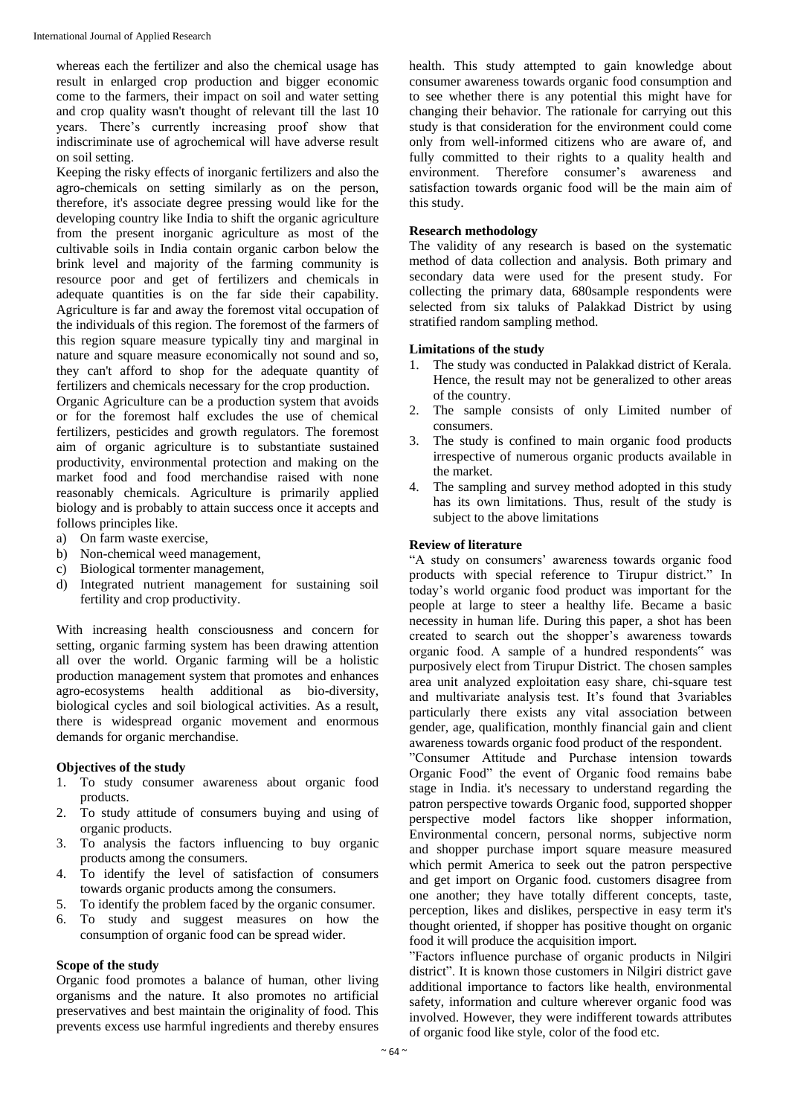whereas each the fertilizer and also the chemical usage has result in enlarged crop production and bigger economic come to the farmers, their impact on soil and water setting and crop quality wasn't thought of relevant till the last 10 years. There's currently increasing proof show that indiscriminate use of agrochemical will have adverse result on soil setting.

Keeping the risky effects of inorganic fertilizers and also the agro-chemicals on setting similarly as on the person, therefore, it's associate degree pressing would like for the developing country like India to shift the organic agriculture from the present inorganic agriculture as most of the cultivable soils in India contain organic carbon below the brink level and majority of the farming community is resource poor and get of fertilizers and chemicals in adequate quantities is on the far side their capability. Agriculture is far and away the foremost vital occupation of the individuals of this region. The foremost of the farmers of this region square measure typically tiny and marginal in nature and square measure economically not sound and so, they can't afford to shop for the adequate quantity of fertilizers and chemicals necessary for the crop production.

Organic Agriculture can be a production system that avoids or for the foremost half excludes the use of chemical fertilizers, pesticides and growth regulators. The foremost aim of organic agriculture is to substantiate sustained productivity, environmental protection and making on the market food and food merchandise raised with none reasonably chemicals. Agriculture is primarily applied biology and is probably to attain success once it accepts and follows principles like.

- a) On farm waste exercise,
- b) Non-chemical weed management,
- c) Biological tormenter management,
- d) Integrated nutrient management for sustaining soil fertility and crop productivity.

With increasing health consciousness and concern for setting, organic farming system has been drawing attention all over the world. Organic farming will be a holistic production management system that promotes and enhances agro-ecosystems health additional as bio-diversity, biological cycles and soil biological activities. As a result, there is widespread organic movement and enormous demands for organic merchandise.

## **Objectives of the study**

- 1. To study consumer awareness about organic food products.
- 2. To study attitude of consumers buying and using of organic products.
- 3. To analysis the factors influencing to buy organic products among the consumers.
- 4. To identify the level of satisfaction of consumers towards organic products among the consumers.
- 5. To identify the problem faced by the organic consumer.
- 6. To study and suggest measures on how the consumption of organic food can be spread wider.

#### **Scope of the study**

Organic food promotes a balance of human, other living organisms and the nature. It also promotes no artificial preservatives and best maintain the originality of food. This prevents excess use harmful ingredients and thereby ensures

health. This study attempted to gain knowledge about consumer awareness towards organic food consumption and to see whether there is any potential this might have for changing their behavior. The rationale for carrying out this study is that consideration for the environment could come only from well-informed citizens who are aware of, and fully committed to their rights to a quality health and environment. Therefore consumer's awareness and satisfaction towards organic food will be the main aim of this study.

#### **Research methodology**

The validity of any research is based on the systematic method of data collection and analysis. Both primary and secondary data were used for the present study. For collecting the primary data, 680sample respondents were selected from six taluks of Palakkad District by using stratified random sampling method.

#### **Limitations of the study**

- 1. The study was conducted in Palakkad district of Kerala. Hence, the result may not be generalized to other areas of the country.
- 2. The sample consists of only Limited number of consumers.
- 3. The study is confined to main organic food products irrespective of numerous organic products available in the market.
- 4. The sampling and survey method adopted in this study has its own limitations. Thus, result of the study is subject to the above limitations

#### **Review of literature**

"A study on consumers' awareness towards organic food products with special reference to Tirupur district." In today's world organic food product was important for the people at large to steer a healthy life. Became a basic necessity in human life. During this paper, a shot has been created to search out the shopper's awareness towards organic food. A sample of a hundred respondents" was purposively elect from Tirupur District. The chosen samples area unit analyzed exploitation easy share, chi-square test and multivariate analysis test. It's found that 3variables particularly there exists any vital association between gender, age, qualification, monthly financial gain and client awareness towards organic food product of the respondent.

"Consumer Attitude and Purchase intension towards Organic Food" the event of Organic food remains babe stage in India. it's necessary to understand regarding the patron perspective towards Organic food, supported shopper perspective model factors like shopper information, Environmental concern, personal norms, subjective norm and shopper purchase import square measure measured which permit America to seek out the patron perspective and get import on Organic food. customers disagree from one another; they have totally different concepts, taste, perception, likes and dislikes, perspective in easy term it's thought oriented, if shopper has positive thought on organic food it will produce the acquisition import.

"Factors influence purchase of organic products in Nilgiri district". It is known those customers in Nilgiri district gave additional importance to factors like health, environmental safety, information and culture wherever organic food was involved. However, they were indifferent towards attributes of organic food like style, color of the food etc.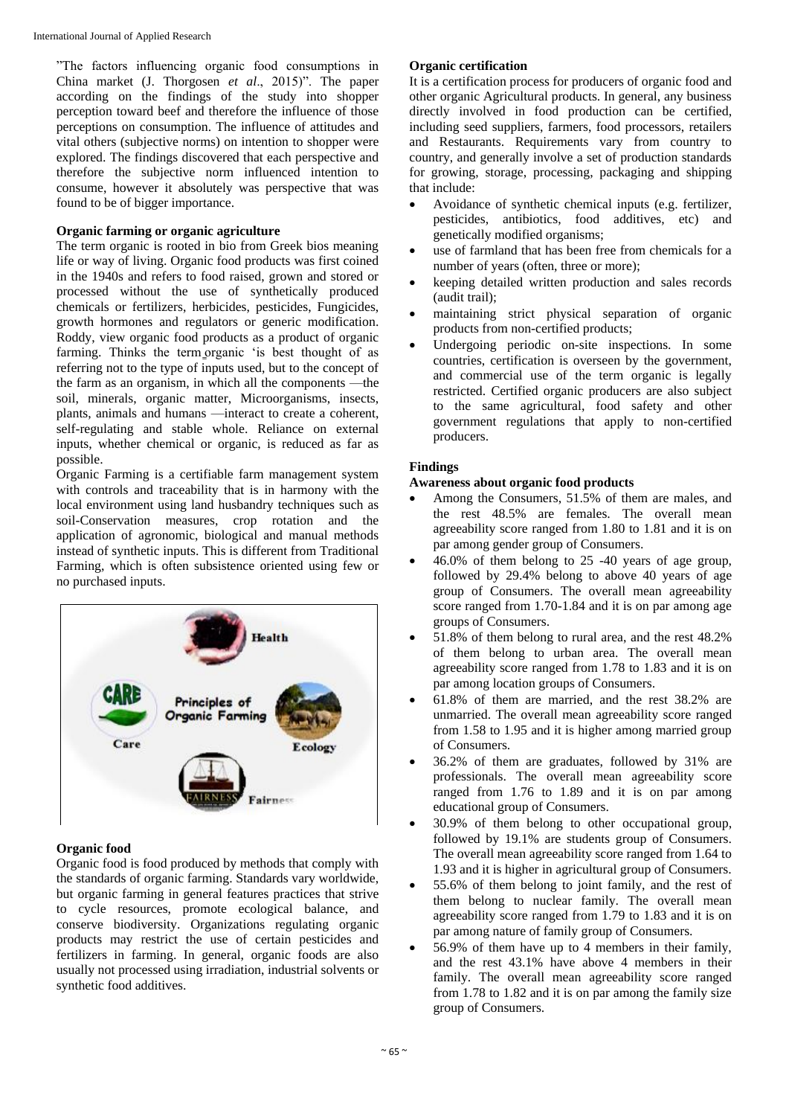"The factors influencing organic food consumptions in China market (J. Thorgosen *et al*., 2015)". The paper according on the findings of the study into shopper perception toward beef and therefore the influence of those perceptions on consumption. The influence of attitudes and vital others (subjective norms) on intention to shopper were explored. The findings discovered that each perspective and therefore the subjective norm influenced intention to consume, however it absolutely was perspective that was found to be of bigger importance.

#### **Organic farming or organic agriculture**

The term organic is rooted in bio from Greek bios meaning life or way of living. Organic food products was first coined in the 1940s and refers to food raised, grown and stored or processed without the use of synthetically produced chemicals or fertilizers, herbicides, pesticides, Fungicides, growth hormones and regulators or generic modification. Roddy, view organic food products as a product of organic farming. Thinks the term organic 'is best thought of as referring not to the type of inputs used, but to the concept of the farm as an organism, in which all the components —the soil, minerals, organic matter, Microorganisms, insects, plants, animals and humans —interact to create a coherent, self-regulating and stable whole. Reliance on external inputs, whether chemical or organic, is reduced as far as possible.

Organic Farming is a certifiable farm management system with controls and traceability that is in harmony with the local environment using land husbandry techniques such as soil-Conservation measures, crop rotation and the application of agronomic, biological and manual methods instead of synthetic inputs. This is different from Traditional Farming, which is often subsistence oriented using few or no purchased inputs.



#### **Organic food**

Organic food is food produced by methods that comply with the standards of organic farming. Standards vary worldwide, but organic farming in general features practices that strive to cycle resources, promote ecological balance, and conserve biodiversity. Organizations regulating organic products may restrict the use of certain pesticides and fertilizers in farming. In general, organic foods are also usually not processed using irradiation, industrial solvents or synthetic food additives.

#### **Organic certification**

It is a certification process for producers of organic food and other organic Agricultural products. In general, any business directly involved in food production can be certified, including seed suppliers, farmers, food processors, retailers and Restaurants. Requirements vary from country to country, and generally involve a set of production standards for growing, storage, processing, packaging and shipping that include:

- Avoidance of synthetic chemical inputs (e.g. fertilizer, pesticides, antibiotics, food additives, etc) and genetically modified organisms;
- use of farmland that has been free from chemicals for a number of years (often, three or more);
- keeping detailed written production and sales records (audit trail);
- maintaining strict physical separation of organic products from non-certified products;
- Undergoing periodic on-site inspections. In some countries, certification is overseen by the government, and commercial use of the term organic is legally restricted. Certified organic producers are also subject to the same agricultural, food safety and other government regulations that apply to non-certified producers.

## **Findings**

#### **Awareness about organic food products**

- Among the Consumers, 51.5% of them are males, and the rest 48.5% are females. The overall mean agreeability score ranged from 1.80 to 1.81 and it is on par among gender group of Consumers.
- 46.0% of them belong to 25 -40 years of age group, followed by 29.4% belong to above 40 years of age group of Consumers. The overall mean agreeability score ranged from 1.70-1.84 and it is on par among age groups of Consumers.
- 51.8% of them belong to rural area, and the rest 48.2% of them belong to urban area. The overall mean agreeability score ranged from 1.78 to 1.83 and it is on par among location groups of Consumers.
- 61.8% of them are married, and the rest 38.2% are unmarried. The overall mean agreeability score ranged from 1.58 to 1.95 and it is higher among married group of Consumers.
- 36.2% of them are graduates, followed by 31% are professionals. The overall mean agreeability score ranged from 1.76 to 1.89 and it is on par among educational group of Consumers.
- 30.9% of them belong to other occupational group, followed by 19.1% are students group of Consumers. The overall mean agreeability score ranged from 1.64 to 1.93 and it is higher in agricultural group of Consumers.
- 55.6% of them belong to joint family, and the rest of them belong to nuclear family. The overall mean agreeability score ranged from 1.79 to 1.83 and it is on par among nature of family group of Consumers.
- 56.9% of them have up to 4 members in their family, and the rest 43.1% have above 4 members in their family. The overall mean agreeability score ranged from 1.78 to 1.82 and it is on par among the family size group of Consumers.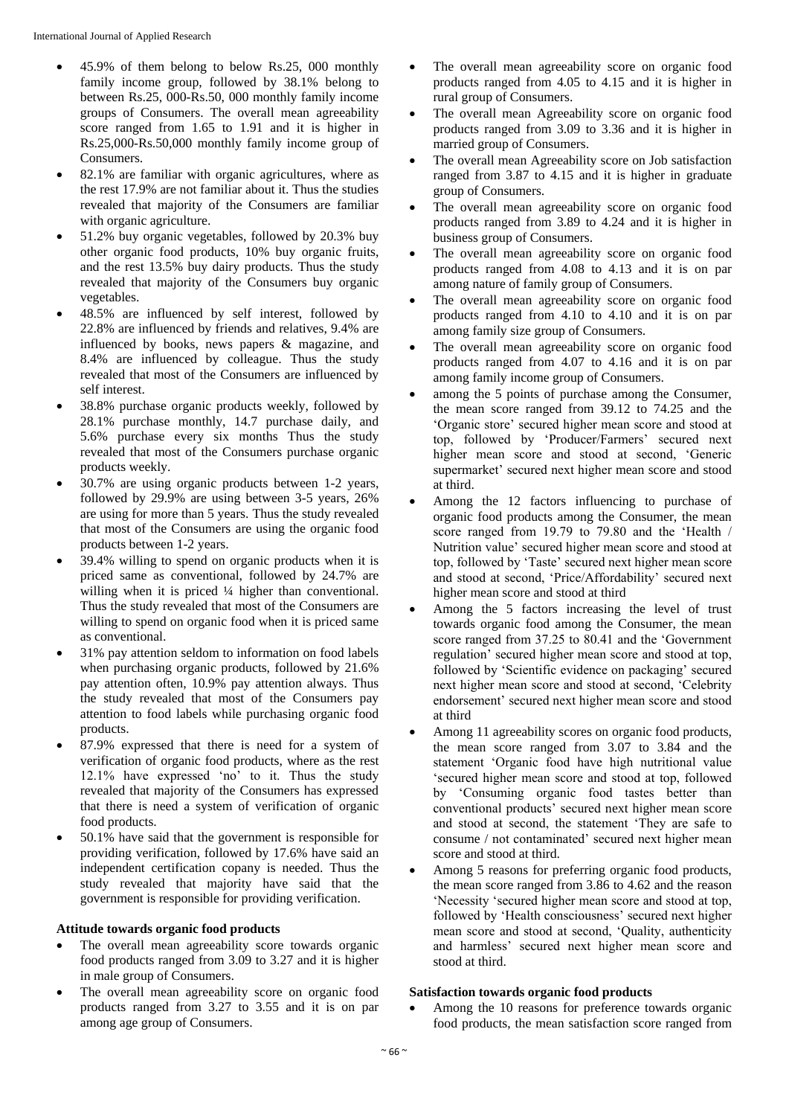- 45.9% of them belong to below Rs.25, 000 monthly family income group, followed by 38.1% belong to between Rs.25, 000-Rs.50, 000 monthly family income groups of Consumers. The overall mean agreeability score ranged from 1.65 to 1.91 and it is higher in Rs.25,000-Rs.50,000 monthly family income group of Consumers.
- 82.1% are familiar with organic agricultures, where as the rest 17.9% are not familiar about it. Thus the studies revealed that majority of the Consumers are familiar with organic agriculture.
- 51.2% buy organic vegetables, followed by 20.3% buy other organic food products, 10% buy organic fruits, and the rest 13.5% buy dairy products. Thus the study revealed that majority of the Consumers buy organic vegetables.
- 48.5% are influenced by self interest, followed by 22.8% are influenced by friends and relatives, 9.4% are influenced by books, news papers & magazine, and 8.4% are influenced by colleague. Thus the study revealed that most of the Consumers are influenced by self interest.
- 38.8% purchase organic products weekly, followed by 28.1% purchase monthly, 14.7 purchase daily, and 5.6% purchase every six months Thus the study revealed that most of the Consumers purchase organic products weekly.
- 30.7% are using organic products between 1-2 years, followed by 29.9% are using between 3-5 years, 26% are using for more than 5 years. Thus the study revealed that most of the Consumers are using the organic food products between 1-2 years.
- 39.4% willing to spend on organic products when it is priced same as conventional, followed by 24.7% are willing when it is priced  $\frac{1}{4}$  higher than conventional. Thus the study revealed that most of the Consumers are willing to spend on organic food when it is priced same as conventional.
- 31% pay attention seldom to information on food labels when purchasing organic products, followed by 21.6% pay attention often, 10.9% pay attention always. Thus the study revealed that most of the Consumers pay attention to food labels while purchasing organic food products.
- 87.9% expressed that there is need for a system of verification of organic food products, where as the rest 12.1% have expressed 'no' to it. Thus the study revealed that majority of the Consumers has expressed that there is need a system of verification of organic food products.
- 50.1% have said that the government is responsible for providing verification, followed by 17.6% have said an independent certification copany is needed. Thus the study revealed that majority have said that the government is responsible for providing verification.

#### **Attitude towards organic food products**

- The overall mean agreeability score towards organic food products ranged from 3.09 to 3.27 and it is higher in male group of Consumers.
- The overall mean agreeability score on organic food products ranged from 3.27 to 3.55 and it is on par among age group of Consumers.
- The overall mean agreeability score on organic food products ranged from 4.05 to 4.15 and it is higher in rural group of Consumers.
- The overall mean Agreeability score on organic food products ranged from 3.09 to 3.36 and it is higher in married group of Consumers.
- The overall mean Agreeability score on Job satisfaction ranged from 3.87 to 4.15 and it is higher in graduate group of Consumers.
- The overall mean agreeability score on organic food products ranged from 3.89 to 4.24 and it is higher in business group of Consumers.
- The overall mean agreeability score on organic food products ranged from 4.08 to 4.13 and it is on par among nature of family group of Consumers.
- The overall mean agreeability score on organic food products ranged from 4.10 to 4.10 and it is on par among family size group of Consumers.
- The overall mean agreeability score on organic food products ranged from 4.07 to 4.16 and it is on par among family income group of Consumers.
- among the 5 points of purchase among the Consumer, the mean score ranged from 39.12 to 74.25 and the 'Organic store' secured higher mean score and stood at top, followed by 'Producer/Farmers' secured next higher mean score and stood at second, 'Generic supermarket' secured next higher mean score and stood at third.
- Among the 12 factors influencing to purchase of organic food products among the Consumer, the mean score ranged from 19.79 to 79.80 and the 'Health / Nutrition value' secured higher mean score and stood at top, followed by 'Taste' secured next higher mean score and stood at second, 'Price/Affordability' secured next higher mean score and stood at third
- Among the 5 factors increasing the level of trust towards organic food among the Consumer, the mean score ranged from 37.25 to 80.41 and the 'Government regulation' secured higher mean score and stood at top, followed by 'Scientific evidence on packaging' secured next higher mean score and stood at second, 'Celebrity endorsement' secured next higher mean score and stood at third
- Among 11 agreeability scores on organic food products, the mean score ranged from 3.07 to 3.84 and the statement 'Organic food have high nutritional value 'secured higher mean score and stood at top, followed by 'Consuming organic food tastes better than conventional products' secured next higher mean score and stood at second, the statement 'They are safe to consume / not contaminated' secured next higher mean score and stood at third.
- Among 5 reasons for preferring organic food products, the mean score ranged from 3.86 to 4.62 and the reason 'Necessity 'secured higher mean score and stood at top, followed by 'Health consciousness' secured next higher mean score and stood at second, 'Quality, authenticity and harmless' secured next higher mean score and stood at third.

#### **Satisfaction towards organic food products**

 Among the 10 reasons for preference towards organic food products, the mean satisfaction score ranged from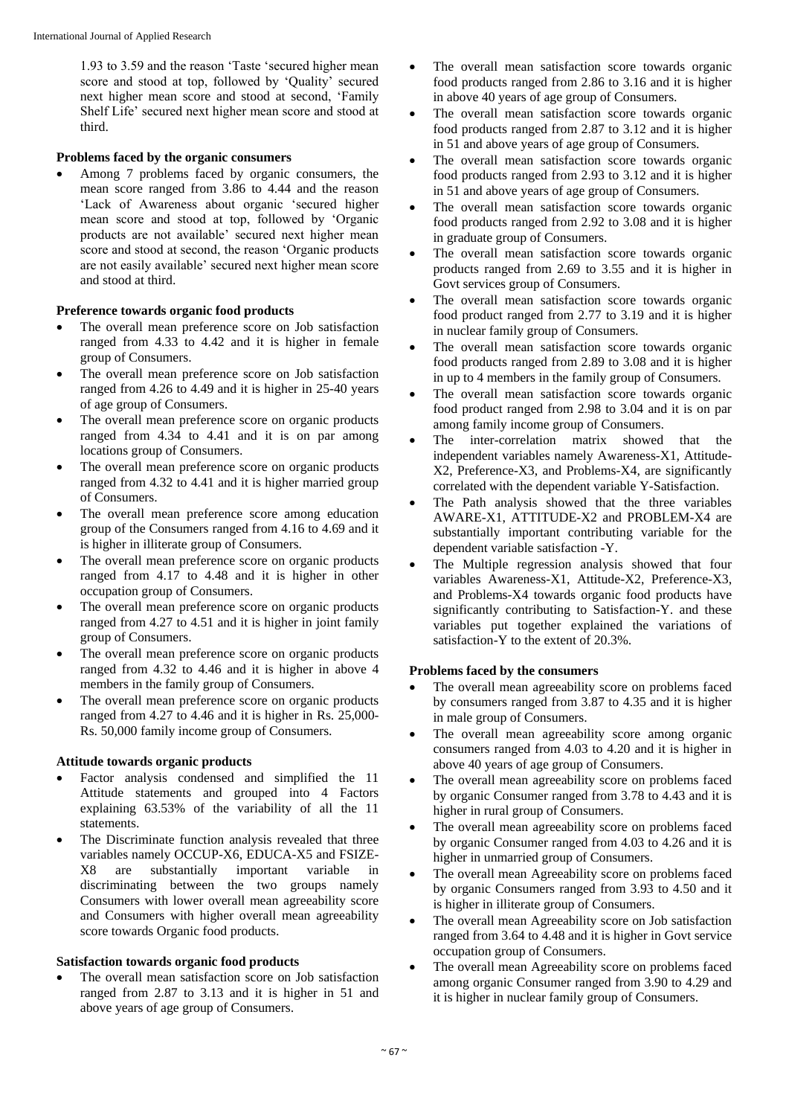1.93 to 3.59 and the reason 'Taste 'secured higher mean score and stood at top, followed by 'Quality' secured next higher mean score and stood at second, 'Family Shelf Life' secured next higher mean score and stood at third.

## **Problems faced by the organic consumers**

 Among 7 problems faced by organic consumers, the mean score ranged from 3.86 to 4.44 and the reason 'Lack of Awareness about organic 'secured higher mean score and stood at top, followed by 'Organic products are not available' secured next higher mean score and stood at second, the reason 'Organic products are not easily available' secured next higher mean score and stood at third.

## **Preference towards organic food products**

- The overall mean preference score on Job satisfaction ranged from 4.33 to 4.42 and it is higher in female group of Consumers.
- The overall mean preference score on Job satisfaction ranged from 4.26 to 4.49 and it is higher in 25-40 years of age group of Consumers.
- The overall mean preference score on organic products ranged from 4.34 to 4.41 and it is on par among locations group of Consumers.
- The overall mean preference score on organic products ranged from 4.32 to 4.41 and it is higher married group of Consumers.
- The overall mean preference score among education group of the Consumers ranged from 4.16 to 4.69 and it is higher in illiterate group of Consumers.
- The overall mean preference score on organic products ranged from 4.17 to 4.48 and it is higher in other occupation group of Consumers.
- The overall mean preference score on organic products ranged from 4.27 to 4.51 and it is higher in joint family group of Consumers.
- The overall mean preference score on organic products ranged from 4.32 to 4.46 and it is higher in above 4 members in the family group of Consumers.
- The overall mean preference score on organic products ranged from 4.27 to 4.46 and it is higher in Rs. 25,000- Rs. 50,000 family income group of Consumers.

#### **Attitude towards organic products**

- Factor analysis condensed and simplified the 11 Attitude statements and grouped into 4 Factors explaining 63.53% of the variability of all the 11 statements.
- The Discriminate function analysis revealed that three variables namely OCCUP-X6, EDUCA-X5 and FSIZE-X8 are substantially important variable in discriminating between the two groups namely Consumers with lower overall mean agreeability score and Consumers with higher overall mean agreeability score towards Organic food products.

#### **Satisfaction towards organic food products**

 The overall mean satisfaction score on Job satisfaction ranged from 2.87 to 3.13 and it is higher in 51 and above years of age group of Consumers.

- The overall mean satisfaction score towards organic food products ranged from 2.86 to 3.16 and it is higher in above 40 years of age group of Consumers.
- The overall mean satisfaction score towards organic food products ranged from 2.87 to 3.12 and it is higher in 51 and above years of age group of Consumers.
- The overall mean satisfaction score towards organic food products ranged from 2.93 to 3.12 and it is higher in 51 and above years of age group of Consumers.
- The overall mean satisfaction score towards organic food products ranged from 2.92 to 3.08 and it is higher in graduate group of Consumers.
- The overall mean satisfaction score towards organic products ranged from 2.69 to 3.55 and it is higher in Govt services group of Consumers.
- The overall mean satisfaction score towards organic food product ranged from 2.77 to 3.19 and it is higher in nuclear family group of Consumers.
- The overall mean satisfaction score towards organic food products ranged from 2.89 to 3.08 and it is higher in up to 4 members in the family group of Consumers.
- The overall mean satisfaction score towards organic food product ranged from 2.98 to 3.04 and it is on par among family income group of Consumers.
- The inter-correlation matrix showed that the independent variables namely Awareness-X1, Attitude-X2, Preference-X3, and Problems-X4, are significantly correlated with the dependent variable Y-Satisfaction.
- The Path analysis showed that the three variables AWARE-X1, ATTITUDE-X2 and PROBLEM-X4 are substantially important contributing variable for the dependent variable satisfaction -Y.
- The Multiple regression analysis showed that four variables Awareness-X1, Attitude-X2, Preference-X3, and Problems-X4 towards organic food products have significantly contributing to Satisfaction-Y. and these variables put together explained the variations of satisfaction-Y to the extent of 20.3%.

#### **Problems faced by the consumers**

- The overall mean agreeability score on problems faced by consumers ranged from 3.87 to 4.35 and it is higher in male group of Consumers.
- The overall mean agreeability score among organic consumers ranged from 4.03 to 4.20 and it is higher in above 40 years of age group of Consumers.
- The overall mean agreeability score on problems faced by organic Consumer ranged from 3.78 to 4.43 and it is higher in rural group of Consumers.
- The overall mean agreeability score on problems faced by organic Consumer ranged from 4.03 to 4.26 and it is higher in unmarried group of Consumers.
- The overall mean Agreeability score on problems faced by organic Consumers ranged from 3.93 to 4.50 and it is higher in illiterate group of Consumers.
- The overall mean Agreeability score on Job satisfaction ranged from 3.64 to 4.48 and it is higher in Govt service occupation group of Consumers.
- The overall mean Agreeability score on problems faced among organic Consumer ranged from 3.90 to 4.29 and it is higher in nuclear family group of Consumers.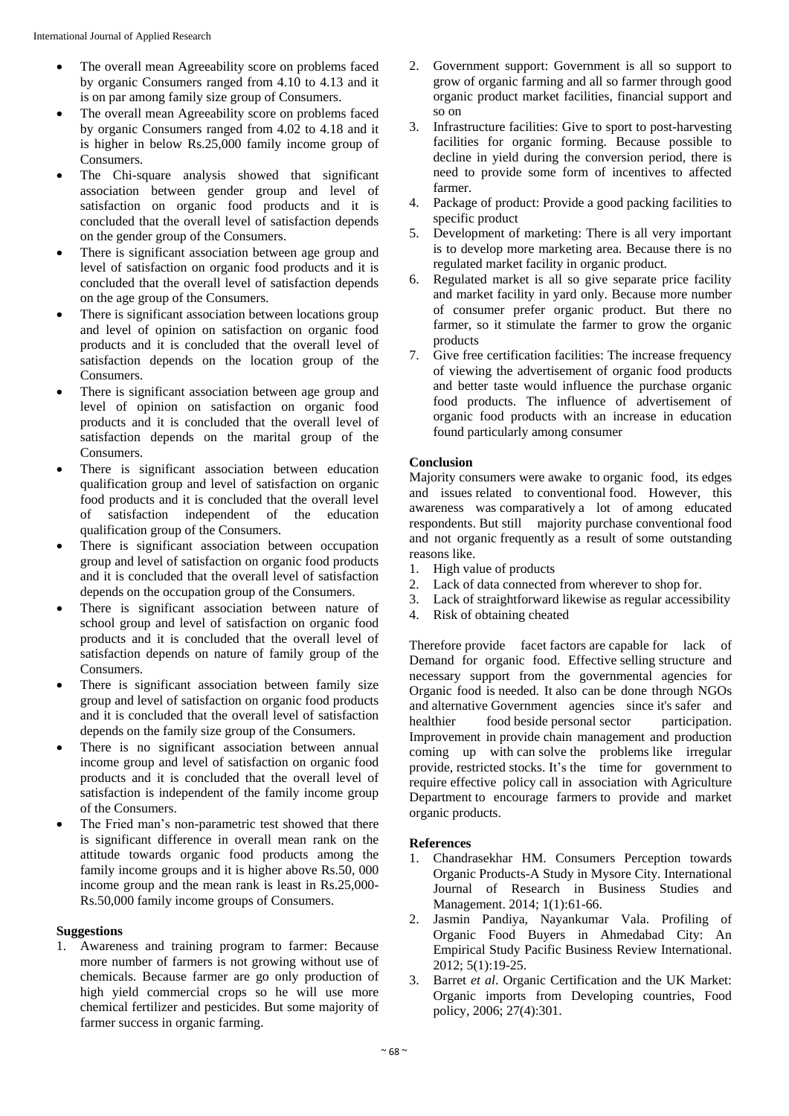- The overall mean Agreeability score on problems faced by organic Consumers ranged from 4.10 to 4.13 and it is on par among family size group of Consumers.
- The overall mean Agreeability score on problems faced by organic Consumers ranged from 4.02 to 4.18 and it is higher in below Rs.25,000 family income group of Consumers.
- The Chi-square analysis showed that significant association between gender group and level of satisfaction on organic food products and it is concluded that the overall level of satisfaction depends on the gender group of the Consumers.
- There is significant association between age group and level of satisfaction on organic food products and it is concluded that the overall level of satisfaction depends on the age group of the Consumers.
- There is significant association between locations group and level of opinion on satisfaction on organic food products and it is concluded that the overall level of satisfaction depends on the location group of the Consumers.
- There is significant association between age group and level of opinion on satisfaction on organic food products and it is concluded that the overall level of satisfaction depends on the marital group of the Consumers.
- There is significant association between education qualification group and level of satisfaction on organic food products and it is concluded that the overall level of satisfaction independent of the education qualification group of the Consumers.
- There is significant association between occupation group and level of satisfaction on organic food products and it is concluded that the overall level of satisfaction depends on the occupation group of the Consumers.
- There is significant association between nature of school group and level of satisfaction on organic food products and it is concluded that the overall level of satisfaction depends on nature of family group of the Consumers.
- There is significant association between family size group and level of satisfaction on organic food products and it is concluded that the overall level of satisfaction depends on the family size group of the Consumers.
- There is no significant association between annual income group and level of satisfaction on organic food products and it is concluded that the overall level of satisfaction is independent of the family income group of the Consumers.
- The Fried man's non-parametric test showed that there is significant difference in overall mean rank on the attitude towards organic food products among the family income groups and it is higher above Rs.50, 000 income group and the mean rank is least in Rs.25,000- Rs.50,000 family income groups of Consumers.

#### **Suggestions**

1. Awareness and training program to farmer: Because more number of farmers is not growing without use of chemicals. Because farmer are go only production of high yield commercial crops so he will use more chemical fertilizer and pesticides. But some majority of farmer success in organic farming.

- 2. Government support: Government is all so support to grow of organic farming and all so farmer through good organic product market facilities, financial support and so on
- 3. Infrastructure facilities: Give to sport to post-harvesting facilities for organic forming. Because possible to decline in yield during the conversion period, there is need to provide some form of incentives to affected farmer.
- 4. Package of product: Provide a good packing facilities to specific product
- 5. Development of marketing: There is all very important is to develop more marketing area. Because there is no regulated market facility in organic product.
- 6. Regulated market is all so give separate price facility and market facility in yard only. Because more number of consumer prefer organic product. But there no farmer, so it stimulate the farmer to grow the organic products
- 7. Give free certification facilities: The increase frequency of viewing the advertisement of organic food products and better taste would influence the purchase organic food products. The influence of advertisement of organic food products with an increase in education found particularly among consumer

#### **Conclusion**

Majority consumers were awake to organic food, its edges and issues related to conventional food. However, this awareness was comparatively a lot of among educated respondents. But still majority purchase conventional food and not organic frequently as a result of some outstanding reasons like.

- 1. High value of products
- 2. Lack of data connected from wherever to shop for.
- 3. Lack of straightforward likewise as regular accessibility
- 4. Risk of obtaining cheated

Therefore provide facet factors are capable for lack of Demand for organic food. Effective selling structure and necessary support from the governmental agencies for Organic food is needed. It also can be done through NGOs and alternative Government agencies since it's safer and healthier food beside personal sector participation. Improvement in provide chain management and production coming up with can solve the problems like irregular provide, restricted stocks. It's the time for government to require effective policy call in association with Agriculture Department to encourage farmers to provide and market organic products.

#### **References**

- 1. Chandrasekhar HM. Consumers Perception towards Organic Products-A Study in Mysore City. International Journal of Research in Business Studies and Management. 2014; 1(1):61-66.
- 2. Jasmin Pandiya, Nayankumar Vala. Profiling of Organic Food Buyers in Ahmedabad City: An Empirical Study Pacific Business Review International. 2012; 5(1):19-25.
- 3. Barret *et al*. Organic Certification and the UK Market: Organic imports from Developing countries, Food policy, 2006; 27(4):301.